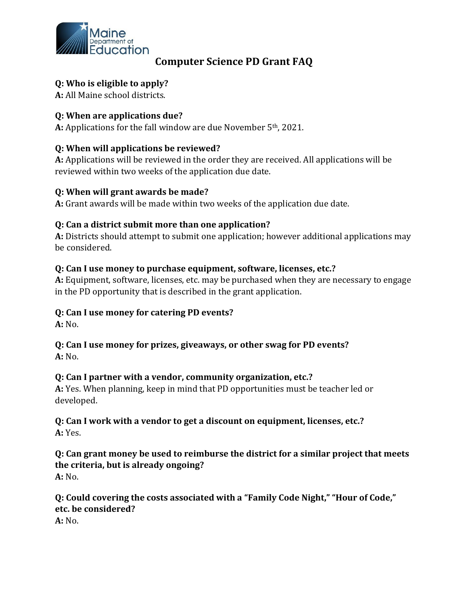

# **Computer Science PD Grant FAQ**

#### **Q: Who is eligible to apply?**

**A:** All Maine school districts.

#### **Q: When are applications due?**

**A:** Applications for the fall window are due November 5th, 2021.

#### **Q: When will applications be reviewed?**

**A:** Applications will be reviewed in the order they are received. All applications will be reviewed within two weeks of the application due date.

#### **Q: When will grant awards be made?**

**A:** Grant awards will be made within two weeks of the application due date.

#### **Q: Can a district submit more than one application?**

**A:** Districts should attempt to submit one application; however additional applications may be considered.

#### **Q: Can I use money to purchase equipment, software, licenses, etc.?**

**A:** Equipment, software, licenses, etc. may be purchased when they are necessary to engage in the PD opportunity that is described in the grant application.

#### **Q: Can I use money for catering PD events?**

**A:** No.

#### **Q: Can I use money for prizes, giveaways, or other swag for PD events? A:** No.

#### **Q: Can I partner with a vendor, community organization, etc.?**

**A:** Yes. When planning, keep in mind that PD opportunities must be teacher led or developed.

#### **Q: Can I work with a vendor to get a discount on equipment, licenses, etc.? A:** Yes.

#### **Q: Can grant money be used to reimburse the district for a similar project that meets the criteria, but is already ongoing? A:** No.

## **Q: Could covering the costs associated with a "Family Code Night," "Hour of Code," etc. be considered?**

**A:** No.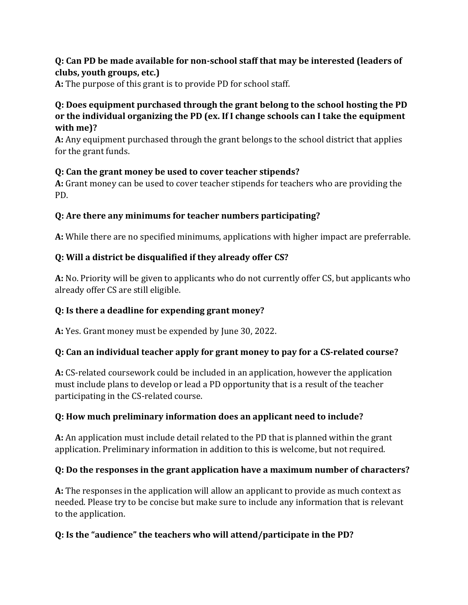## **Q: Can PD be made available for non-school staff that may be interested (leaders of clubs, youth groups, etc.)**

**A:** The purpose of this grant is to provide PD for school staff.

### **Q: Does equipment purchased through the grant belong to the school hosting the PD or the individual organizing the PD (ex. If I change schools can I take the equipment with me)?**

**A:** Any equipment purchased through the grant belongs to the school district that applies for the grant funds.

## **Q: Can the grant money be used to cover teacher stipends?**

**A:** Grant money can be used to cover teacher stipends for teachers who are providing the PD.

## **Q: Are there any minimums for teacher numbers participating?**

**A:** While there are no specified minimums, applications with higher impact are preferrable.

## **Q: Will a district be disqualified if they already offer CS?**

**A:** No. Priority will be given to applicants who do not currently offer CS, but applicants who already offer CS are still eligible.

## **Q: Is there a deadline for expending grant money?**

**A:** Yes. Grant money must be expended by June 30, 2022.

## **Q: Can an individual teacher apply for grant money to pay for a CS-related course?**

**A:** CS-related coursework could be included in an application, however the application must include plans to develop or lead a PD opportunity that is a result of the teacher participating in the CS-related course.

## **Q: How much preliminary information does an applicant need to include?**

**A:** An application must include detail related to the PD that is planned within the grant application. Preliminary information in addition to this is welcome, but not required.

## **Q: Do the responses in the grant application have a maximum number of characters?**

**A:** The responses in the application will allow an applicant to provide as much context as needed. Please try to be concise but make sure to include any information that is relevant to the application.

# **Q: Is the "audience" the teachers who will attend/participate in the PD?**